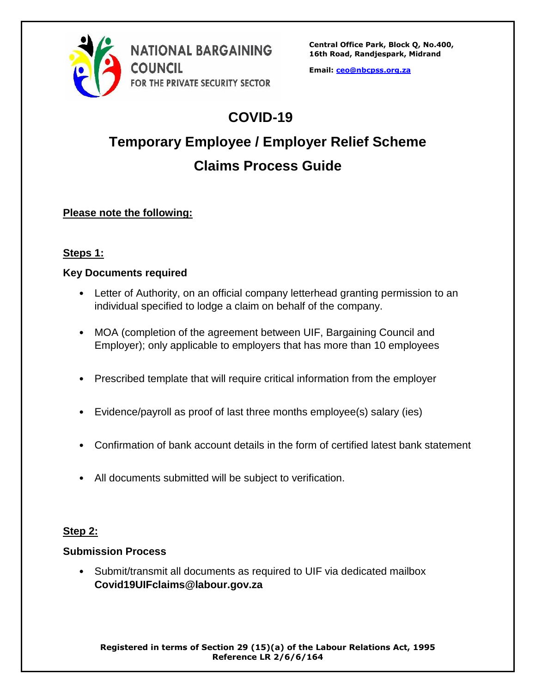

**Email: [ceo@nbcpss.org.za](mailto:ceo@nbcpss.org.za)**

## **COVID-19**

# **Temporary Employee / Employer Relief Scheme Claims Process Guide**

### **Please note the following:**

#### **Steps 1:**

#### **Key Documents required**

- Letter of Authority, on an official company letterhead granting permission to an individual specified to lodge a claim on behalf of the company.
- MOA (completion of the agreement between UIF, Bargaining Council and Employer); only applicable to employers that has more than 10 employees
- Prescribed template that will require critical information from the employer
- Evidence/payroll as proof of last three months employee(s) salary (ies)
- Confirmation of bank account details in the form of certified latest bank statement
- All documents submitted will be subject to verification.

#### **Step 2:**

#### **Submission Process**

• Submit/transmit all documents as required to UIF via dedicated mailbox **Covid19UIFclaims@labour.gov.za**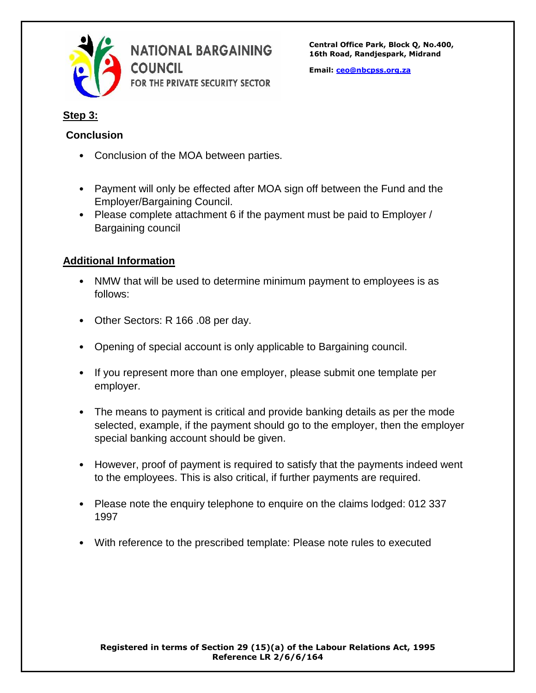

**Central Office Park, Block Q, No.400, 16th Road, Randjespark, Midrand**

**Email: [ceo@nbcpss.org.za](mailto:ceo@nbcpss.org.za)**

#### **Step 3:**

#### **Conclusion**

- Conclusion of the MOA between parties.
- Payment will only be effected after MOA sign off between the Fund and the Employer/Bargaining Council.
- Please complete attachment 6 if the payment must be paid to Employer / Bargaining council

#### **Additional Information**

- NMW that will be used to determine minimum payment to employees is as follows:
- Other Sectors: R 166 .08 per day.
- Opening of special account is only applicable to Bargaining council.
- If you represent more than one employer, please submit one template per employer.
- The means to payment is critical and provide banking details as per the mode selected, example, if the payment should go to the employer, then the employer special banking account should be given.
- However, proof of payment is required to satisfy that the payments indeed went to the employees. This is also critical, if further payments are required.
- Please note the enquiry telephone to enquire on the claims lodged: 012 337 1997
- With reference to the prescribed template: Please note rules to executed

#### **Registered in terms of Section 29 (15)(a) of the Labour Relations Act, 1995 Reference LR 2/6/6/164**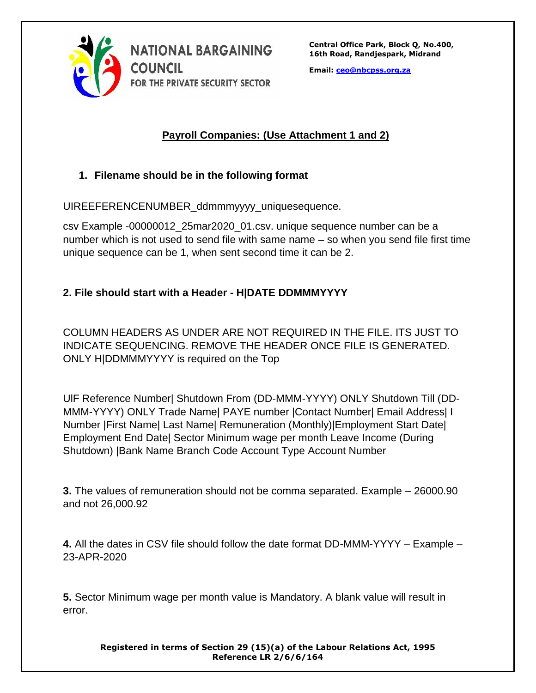

**Central Office Park, Block Q, No.400, 16th Road, Randjespark, Midrand**

**Email: [ceo@nbcpss.org.za](mailto:ceo@nbcpss.org.za)**

#### **Payroll Companies: (Use Attachment 1 and 2)**

#### **1. Filename should be in the following format**

UIREEFERENCENUMBER\_ddmmmyyyy\_uniquesequence.

csv Example -00000012\_25mar2020\_01.csv. unique sequence number can be a number which is not used to send file with same name – so when you send file first time unique sequence can be 1, when sent second time it can be 2.

#### **2. File should start with a Header - H|DATE DDMMMYYYY**

COLUMN HEADERS AS UNDER ARE NOT REQUIRED IN THE FILE. ITS JUST TO INDICATE SEQUENCING. REMOVE THE HEADER ONCE FILE IS GENERATED. ONLY H|DDMMMYYYY is required on the Top

UlF Reference Number| Shutdown From (DD-MMM-YYYY) ONLY Shutdown Till (DD-MMM-YYYY) ONLY Trade Name| PAYE number |Contact Number| Email Address| I Number |First Name| Last Name| Remuneration (Monthly)|Employment Start Date| Employment End Date| Sector Minimum wage per month Leave Income (During Shutdown) |Bank Name Branch Code Account Type Account Number

**3.** The values of remuneration should not be comma separated. Example – 26000.90 and not 26,000.92

**4.** All the dates in CSV file should follow the date format DD-MMM-YYYY – Example – 23-APR-2020

**5.** Sector Minimum wage per month value is Mandatory. A blank value will result in error.

**Registered in terms of Section 29 (15)(a) of the Labour Relations Act, 1995 Reference LR 2/6/6/164**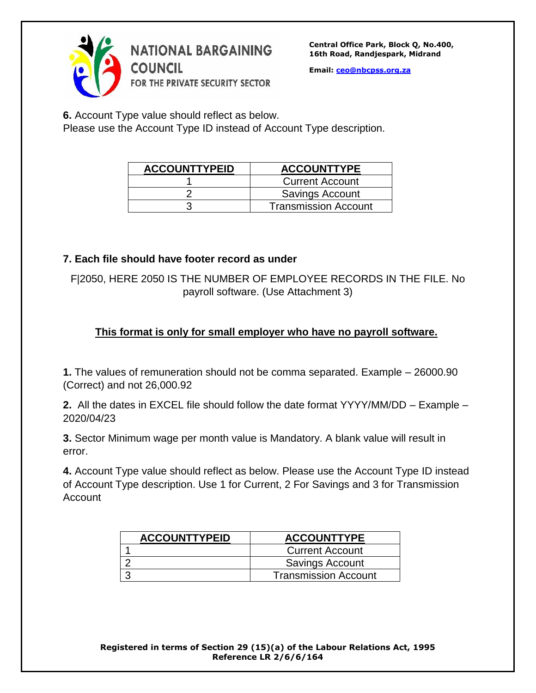

**Email: [ceo@nbcpss.org.za](mailto:ceo@nbcpss.org.za)**

**6.** Account Type value should reflect as below.

Please use the Account Type ID instead of Account Type description.

| <b>ACCOUNTTYPEID</b> | <b>ACCOUNTTYPE</b>          |
|----------------------|-----------------------------|
|                      | <b>Current Account</b>      |
|                      | Savings Account             |
|                      | <b>Transmission Account</b> |

#### **7. Each file should have footer record as under**

F|2050, HERE 2050 IS THE NUMBER OF EMPLOYEE RECORDS IN THE FILE. No payroll software. (Use Attachment 3)

### **This format is only for small employer who have no payroll software.**

**1.** The values of remuneration should not be comma separated. Example – 26000.90 (Correct) and not 26,000.92

**2.** All the dates in EXCEL file should follow the date format YYYY/MM/DD – Example – 2020/04/23

**3.** Sector Minimum wage per month value is Mandatory. A blank value will result in error.

**4.** Account Type value should reflect as below. Please use the Account Type ID instead of Account Type description. Use 1 for Current, 2 For Savings and 3 for Transmission Account

| <b>ACCOUNTTYPEID</b> | <b>ACCOUNTTYPE</b>          |
|----------------------|-----------------------------|
|                      | <b>Current Account</b>      |
|                      | <b>Savings Account</b>      |
|                      | <b>Transmission Account</b> |